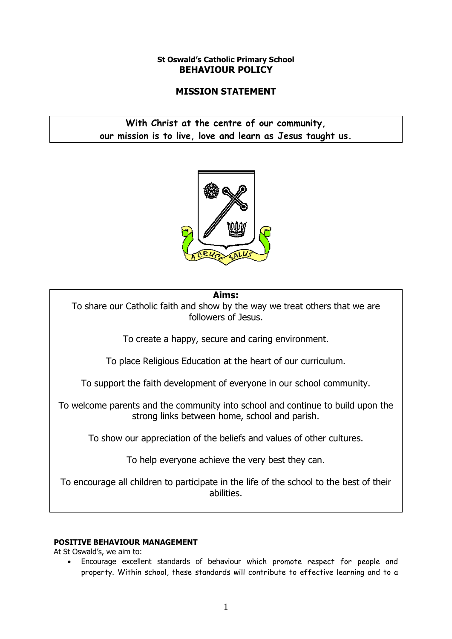# **St Oswald's Catholic Primary School BEHAVIOUR POLICY**

# **MISSION STATEMENT**

# **With Christ at the centre of our community, our mission is to live, love and learn as Jesus taught us.**



# **Aims:**

To share our Catholic faith and show by the way we treat others that we are followers of Jesus.

To create a happy, secure and caring environment.

To place Religious Education at the heart of our curriculum.

To support the faith development of everyone in our school community.

To welcome parents and the community into school and continue to build upon the strong links between home, school and parish.

To show our appreciation of the beliefs and values of other cultures.

To help everyone achieve the very best they can.

To encourage all children to participate in the life of the school to the best of their abilities.

# **POSITIVE BEHAVIOUR MANAGEMENT**

At St Oswald's, we aim to:

 Encourage excellent standards of behaviour which promote respect for people and property. Within school, these standards will contribute to effective learning and to a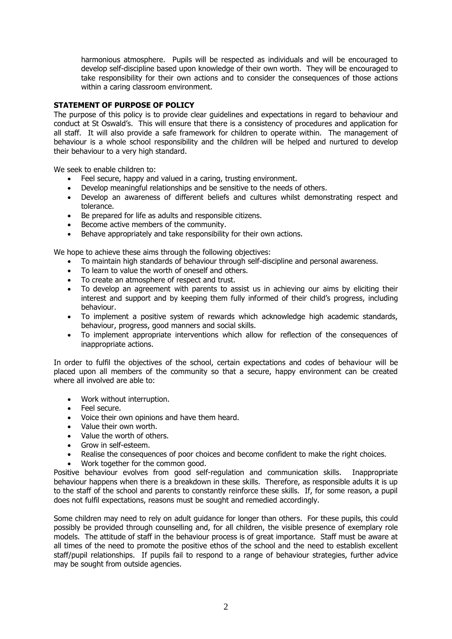harmonious atmosphere. Pupils will be respected as individuals and will be encouraged to develop self-discipline based upon knowledge of their own worth. They will be encouraged to take responsibility for their own actions and to consider the consequences of those actions within a caring classroom environment.

# **STATEMENT OF PURPOSE OF POLICY**

The purpose of this policy is to provide clear guidelines and expectations in regard to behaviour and conduct at St Oswald's. This will ensure that there is a consistency of procedures and application for all staff. It will also provide a safe framework for children to operate within. The management of behaviour is a whole school responsibility and the children will be helped and nurtured to develop their behaviour to a very high standard.

We seek to enable children to:

- Feel secure, happy and valued in a caring, trusting environment.
- Develop meaningful relationships and be sensitive to the needs of others.
- Develop an awareness of different beliefs and cultures whilst demonstrating respect and tolerance.
- Be prepared for life as adults and responsible citizens.
- **Become active members of the community.**
- Behave appropriately and take responsibility for their own actions.

We hope to achieve these aims through the following objectives:

- To maintain high standards of behaviour through self-discipline and personal awareness.
- To learn to value the worth of oneself and others.
- To create an atmosphere of respect and trust.
- To develop an agreement with parents to assist us in achieving our aims by eliciting their interest and support and by keeping them fully informed of their child's progress, including behaviour.
- To implement a positive system of rewards which acknowledge high academic standards, behaviour, progress, good manners and social skills.
- To implement appropriate interventions which allow for reflection of the consequences of inappropriate actions.

In order to fulfil the objectives of the school, certain expectations and codes of behaviour will be placed upon all members of the community so that a secure, happy environment can be created where all involved are able to:

- Work without interruption.
- Feel secure.
- Voice their own opinions and have them heard.
- Value their own worth.
- Value the worth of others.
- Grow in self-esteem.
- Realise the consequences of poor choices and become confident to make the right choices.
- Work together for the common good.

Positive behaviour evolves from good self-regulation and communication skills. Inappropriate behaviour happens when there is a breakdown in these skills. Therefore, as responsible adults it is up to the staff of the school and parents to constantly reinforce these skills. If, for some reason, a pupil does not fulfil expectations, reasons must be sought and remedied accordingly.

Some children may need to rely on adult guidance for longer than others. For these pupils, this could possibly be provided through counselling and, for all children, the visible presence of exemplary role models. The attitude of staff in the behaviour process is of great importance. Staff must be aware at all times of the need to promote the positive ethos of the school and the need to establish excellent staff/pupil relationships. If pupils fail to respond to a range of behaviour strategies, further advice may be sought from outside agencies.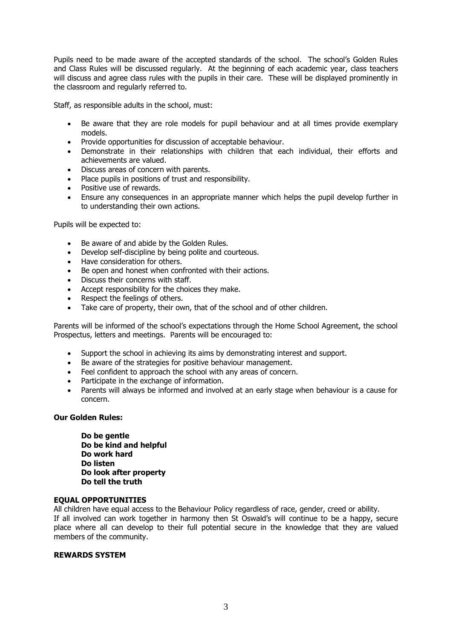Pupils need to be made aware of the accepted standards of the school. The school's Golden Rules and Class Rules will be discussed regularly. At the beginning of each academic year, class teachers will discuss and agree class rules with the pupils in their care. These will be displayed prominently in the classroom and regularly referred to.

Staff, as responsible adults in the school, must:

- Be aware that they are role models for pupil behaviour and at all times provide exemplary models.
- Provide opportunities for discussion of acceptable behaviour.
- Demonstrate in their relationships with children that each individual, their efforts and achievements are valued.
- Discuss areas of concern with parents.
- Place pupils in positions of trust and responsibility.
- Positive use of rewards.
- Ensure any consequences in an appropriate manner which helps the pupil develop further in to understanding their own actions.

Pupils will be expected to:

- Be aware of and abide by the Golden Rules.
- Develop self-discipline by being polite and courteous.
- Have consideration for others.
- Be open and honest when confronted with their actions.
- Discuss their concerns with staff.
- Accept responsibility for the choices they make.
- Respect the feelings of others.
- Take care of property, their own, that of the school and of other children.

Parents will be informed of the school's expectations through the Home School Agreement, the school Prospectus, letters and meetings. Parents will be encouraged to:

- Support the school in achieving its aims by demonstrating interest and support.
- Be aware of the strategies for positive behaviour management.
- Feel confident to approach the school with any areas of concern.
- Participate in the exchange of information.
- Parents will always be informed and involved at an early stage when behaviour is a cause for concern.

# **Our Golden Rules:**

**Do be gentle Do be kind and helpful Do work hard Do listen Do look after property Do tell the truth**

# **EQUAL OPPORTUNITIES**

All children have equal access to the Behaviour Policy regardless of race, gender, creed or ability. If all involved can work together in harmony then St Oswald's will continue to be a happy, secure place where all can develop to their full potential secure in the knowledge that they are valued members of the community.

# **REWARDS SYSTEM**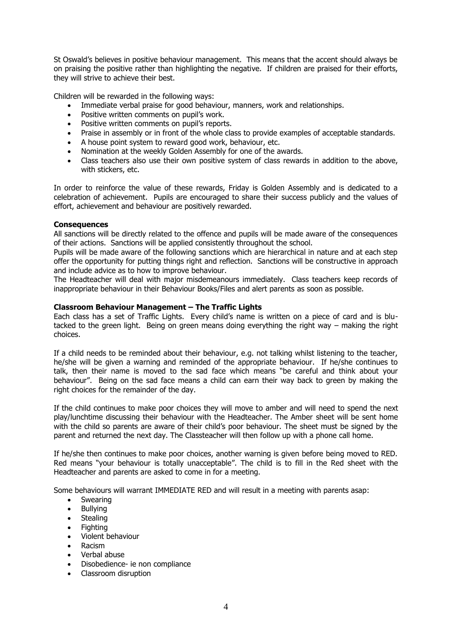St Oswald's believes in positive behaviour management. This means that the accent should always be on praising the positive rather than highlighting the negative. If children are praised for their efforts, they will strive to achieve their best.

Children will be rewarded in the following ways:

- Immediate verbal praise for good behaviour, manners, work and relationships.
- Positive written comments on pupil's work.
- Positive written comments on pupil's reports.
- Praise in assembly or in front of the whole class to provide examples of acceptable standards.
- A house point system to reward good work, behaviour, etc.
- Nomination at the weekly Golden Assembly for one of the awards.
- Class teachers also use their own positive system of class rewards in addition to the above, with stickers, etc.

In order to reinforce the value of these rewards, Friday is Golden Assembly and is dedicated to a celebration of achievement. Pupils are encouraged to share their success publicly and the values of effort, achievement and behaviour are positively rewarded.

#### **Consequences**

All sanctions will be directly related to the offence and pupils will be made aware of the consequences of their actions. Sanctions will be applied consistently throughout the school.

Pupils will be made aware of the following sanctions which are hierarchical in nature and at each step offer the opportunity for putting things right and reflection. Sanctions will be constructive in approach and include advice as to how to improve behaviour.

The Headteacher will deal with major misdemeanours immediately. Class teachers keep records of inappropriate behaviour in their Behaviour Books/Files and alert parents as soon as possible.

# **Classroom Behaviour Management – The Traffic Lights**

Each class has a set of Traffic Lights. Every child's name is written on a piece of card and is blutacked to the green light. Being on green means doing everything the right way – making the right choices.

If a child needs to be reminded about their behaviour, e.g. not talking whilst listening to the teacher, he/she will be given a warning and reminded of the appropriate behaviour. If he/she continues to talk, then their name is moved to the sad face which means "be careful and think about your behaviour". Being on the sad face means a child can earn their way back to green by making the right choices for the remainder of the day.

If the child continues to make poor choices they will move to amber and will need to spend the next play/lunchtime discussing their behaviour with the Headteacher. The Amber sheet will be sent home with the child so parents are aware of their child's poor behaviour. The sheet must be signed by the parent and returned the next day. The Classteacher will then follow up with a phone call home.

If he/she then continues to make poor choices, another warning is given before being moved to RED. Red means "your behaviour is totally unacceptable". The child is to fill in the Red sheet with the Headteacher and parents are asked to come in for a meeting.

Some behaviours will warrant IMMEDIATE RED and will result in a meeting with parents asap:

- Swearing
- Bullying
- Stealing
- Fighting
- Violent behaviour
- Racism
- Verbal abuse
- Disobedience- ie non compliance
- Classroom disruption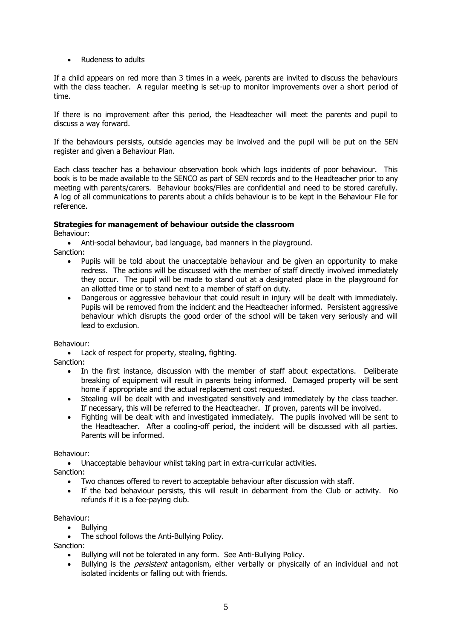Rudeness to adults

If a child appears on red more than 3 times in a week, parents are invited to discuss the behaviours with the class teacher. A regular meeting is set-up to monitor improvements over a short period of time.

If there is no improvement after this period, the Headteacher will meet the parents and pupil to discuss a way forward.

If the behaviours persists, outside agencies may be involved and the pupil will be put on the SEN register and given a Behaviour Plan.

Each class teacher has a behaviour observation book which logs incidents of poor behaviour. This book is to be made available to the SENCO as part of SEN records and to the Headteacher prior to any meeting with parents/carers. Behaviour books/Files are confidential and need to be stored carefully. A log of all communications to parents about a childs behaviour is to be kept in the Behaviour File for reference.

# **Strategies for management of behaviour outside the classroom**

Behaviour:

Anti-social behaviour, bad language, bad manners in the playground.

- Sanction:
	- Pupils will be told about the unacceptable behaviour and be given an opportunity to make redress. The actions will be discussed with the member of staff directly involved immediately they occur. The pupil will be made to stand out at a designated place in the playground for an allotted time or to stand next to a member of staff on duty.
	- Dangerous or aggressive behaviour that could result in injury will be dealt with immediately. Pupils will be removed from the incident and the Headteacher informed. Persistent aggressive behaviour which disrupts the good order of the school will be taken very seriously and will lead to exclusion.

Behaviour:

• Lack of respect for property, stealing, fighting.

Sanction:

- In the first instance, discussion with the member of staff about expectations. Deliberate breaking of equipment will result in parents being informed. Damaged property will be sent home if appropriate and the actual replacement cost requested.
- Stealing will be dealt with and investigated sensitively and immediately by the class teacher. If necessary, this will be referred to the Headteacher. If proven, parents will be involved.
- Fighting will be dealt with and investigated immediately. The pupils involved will be sent to the Headteacher. After a cooling-off period, the incident will be discussed with all parties. Parents will be informed.

Behaviour:

Unacceptable behaviour whilst taking part in extra-curricular activities.

Sanction:

- Two chances offered to revert to acceptable behaviour after discussion with staff.
- If the bad behaviour persists, this will result in debarment from the Club or activity. No refunds if it is a fee-paying club.

Behaviour:

- Bullving
- The school follows the Anti-Bullying Policy.

Sanction:

- Bullying will not be tolerated in any form. See Anti-Bullying Policy.
- Bullying is the *persistent* antagonism, either verbally or physically of an individual and not isolated incidents or falling out with friends.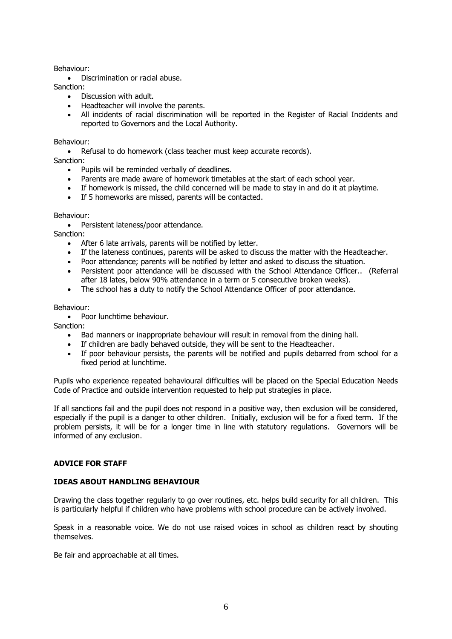#### Behaviour:

• Discrimination or racial abuse.

Sanction:

- Discussion with adult.
- Headteacher will involve the parents.
- All incidents of racial discrimination will be reported in the Register of Racial Incidents and reported to Governors and the Local Authority.

#### Behaviour:

• Refusal to do homework (class teacher must keep accurate records).

Sanction:

- Pupils will be reminded verbally of deadlines.
- Parents are made aware of homework timetables at the start of each school year.
- If homework is missed, the child concerned will be made to stay in and do it at playtime.
- If 5 homeworks are missed, parents will be contacted.

#### Behaviour:

• Persistent lateness/poor attendance.

Sanction:

- After 6 late arrivals, parents will be notified by letter.
- If the lateness continues, parents will be asked to discuss the matter with the Headteacher.
- Poor attendance; parents will be notified by letter and asked to discuss the situation.
- Persistent poor attendance will be discussed with the School Attendance Officer.. (Referral after 18 lates, below 90% attendance in a term or 5 consecutive broken weeks).
- The school has a duty to notify the School Attendance Officer of poor attendance.

#### Behaviour:

• Poor lunchtime behaviour.

Sanction:

- Bad manners or inappropriate behaviour will result in removal from the dining hall.
- If children are badly behaved outside, they will be sent to the Headteacher.
- If poor behaviour persists, the parents will be notified and pupils debarred from school for a fixed period at lunchtime.

Pupils who experience repeated behavioural difficulties will be placed on the Special Education Needs Code of Practice and outside intervention requested to help put strategies in place.

If all sanctions fail and the pupil does not respond in a positive way, then exclusion will be considered, especially if the pupil is a danger to other children. Initially, exclusion will be for a fixed term. If the problem persists, it will be for a longer time in line with statutory regulations. Governors will be informed of any exclusion.

# **ADVICE FOR STAFF**

# **IDEAS ABOUT HANDLING BEHAVIOUR**

Drawing the class together regularly to go over routines, etc. helps build security for all children. This is particularly helpful if children who have problems with school procedure can be actively involved.

Speak in a reasonable voice. We do not use raised voices in school as children react by shouting themselves.

Be fair and approachable at all times.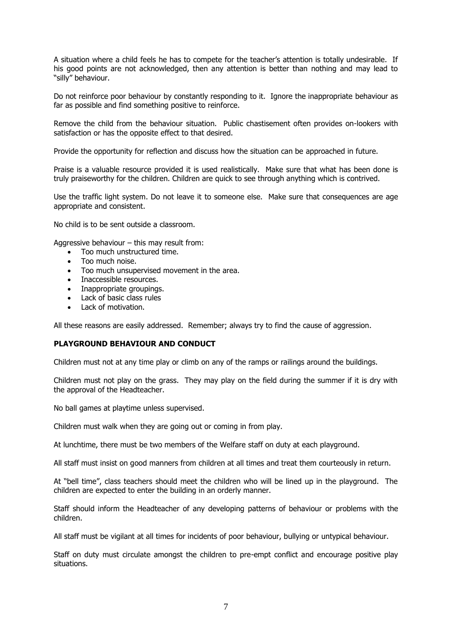A situation where a child feels he has to compete for the teacher's attention is totally undesirable. If his good points are not acknowledged, then any attention is better than nothing and may lead to "silly" behaviour.

Do not reinforce poor behaviour by constantly responding to it. Ignore the inappropriate behaviour as far as possible and find something positive to reinforce.

Remove the child from the behaviour situation. Public chastisement often provides on-lookers with satisfaction or has the opposite effect to that desired.

Provide the opportunity for reflection and discuss how the situation can be approached in future.

Praise is a valuable resource provided it is used realistically. Make sure that what has been done is truly praiseworthy for the children. Children are quick to see through anything which is contrived.

Use the traffic light system. Do not leave it to someone else. Make sure that consequences are age appropriate and consistent.

No child is to be sent outside a classroom.

Aggressive behaviour – this may result from:

- Too much unstructured time.
- Too much noise.
- Too much unsupervised movement in the area.
- **Inaccessible resources.**
- Inappropriate groupings.
- Lack of basic class rules
- Lack of motivation.

All these reasons are easily addressed. Remember; always try to find the cause of aggression.

# **PLAYGROUND BEHAVIOUR AND CONDUCT**

Children must not at any time play or climb on any of the ramps or railings around the buildings.

Children must not play on the grass. They may play on the field during the summer if it is dry with the approval of the Headteacher.

No ball games at playtime unless supervised.

Children must walk when they are going out or coming in from play.

At lunchtime, there must be two members of the Welfare staff on duty at each playground.

All staff must insist on good manners from children at all times and treat them courteously in return.

At "bell time", class teachers should meet the children who will be lined up in the playground. The children are expected to enter the building in an orderly manner.

Staff should inform the Headteacher of any developing patterns of behaviour or problems with the children.

All staff must be vigilant at all times for incidents of poor behaviour, bullying or untypical behaviour.

Staff on duty must circulate amongst the children to pre-empt conflict and encourage positive play situations.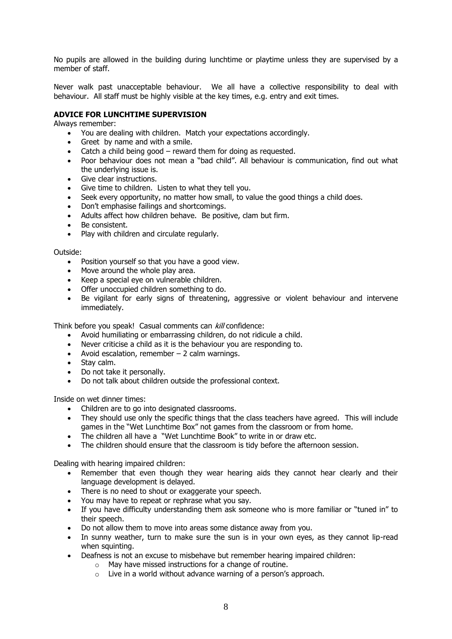No pupils are allowed in the building during lunchtime or playtime unless they are supervised by a member of staff.

Never walk past unacceptable behaviour. We all have a collective responsibility to deal with behaviour. All staff must be highly visible at the key times, e.g. entry and exit times.

# **ADVICE FOR LUNCHTIME SUPERVISION**

Always remember:

- You are dealing with children. Match your expectations accordingly.
- Greet by name and with a smile.
- Catch a child being good reward them for doing as requested.
- Poor behaviour does not mean a "bad child". All behaviour is communication, find out what the underlying issue is.
- Give clear instructions.
- Give time to children. Listen to what they tell you.
- Seek every opportunity, no matter how small, to value the good things a child does.
- Don't emphasise failings and shortcomings.
- Adults affect how children behave. Be positive, clam but firm.
- Be consistent.
- Play with children and circulate regularly.

Outside:

- Position yourself so that you have a good view.
- Move around the whole play area.
- Keep a special eye on vulnerable children.
- Offer unoccupied children something to do.
- Be vigilant for early signs of threatening, aggressive or violent behaviour and intervene immediately.

Think before you speak! Casual comments can kill confidence:

- Avoid humiliating or embarrassing children, do not ridicule a child.
- Never criticise a child as it is the behaviour you are responding to.
- Avoid escalation, remember  $-2$  calm warnings.
- Stay calm.
- Do not take it personally.
- Do not talk about children outside the professional context.

Inside on wet dinner times:

- Children are to go into designated classrooms.
- They should use only the specific things that the class teachers have agreed. This will include games in the "Wet Lunchtime Box" not games from the classroom or from home.
- The children all have a "Wet Lunchtime Book" to write in or draw etc.
- The children should ensure that the classroom is tidy before the afternoon session.

Dealing with hearing impaired children:

- Remember that even though they wear hearing aids they cannot hear clearly and their language development is delayed.
- There is no need to shout or exaggerate your speech.
- You may have to repeat or rephrase what you say.
- If you have difficulty understanding them ask someone who is more familiar or "tuned in" to their speech.
- Do not allow them to move into areas some distance away from you.
- In sunny weather, turn to make sure the sun is in your own eyes, as they cannot lip-read when squinting.
- Deafness is not an excuse to misbehave but remember hearing impaired children:
	- o May have missed instructions for a change of routine.
	- o Live in a world without advance warning of a person's approach.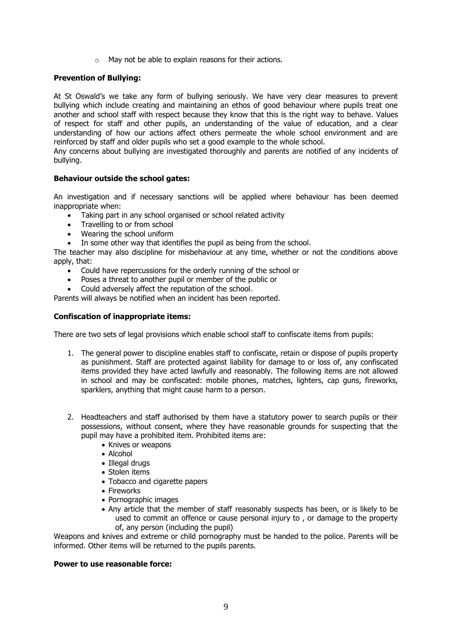o May not be able to explain reasons for their actions.

# **Prevention of Bullying:**

At St Oswald's we take any form of bullying seriously. We have very clear measures to prevent bullying which include creating and maintaining an ethos of good behaviour where pupils treat one another and school staff with respect because they know that this is the right way to behave. Values of respect for staff and other pupils, an understanding of the value of education, and a clear understanding of how our actions affect others permeate the whole school environment and are reinforced by staff and older pupils who set a good example to the whole school.

Any concerns about bullying are investigated thoroughly and parents are notified of any incidents of bullying.

#### **Behaviour outside the school gates:**

An investigation and if necessary sanctions will be applied where behaviour has been deemed inappropriate when:

- Taking part in any school organised or school related activity
- Travelling to or from school
- Wearing the school uniform
- In some other way that identifies the pupil as being from the school.

The teacher may also discipline for misbehaviour at any time, whether or not the conditions above apply, that:

- Could have repercussions for the orderly running of the school or
- Poses a threat to another pupil or member of the public or
- Could adversely affect the reputation of the school.

Parents will always be notified when an incident has been reported.

#### **Confiscation of inappropriate items:**

There are two sets of legal provisions which enable school staff to confiscate items from pupils:

- 1. The general power to discipline enables staff to confiscate, retain or dispose of pupils property as punishment. Staff are protected against liability for damage to or loss of, any confiscated items provided they have acted lawfully and reasonably. The following items are not allowed in school and may be confiscated: mobile phones, matches, lighters, cap guns, fireworks, sparklers, anything that might cause harm to a person.
- 2. Headteachers and staff authorised by them have a statutory power to search pupils or their possessions, without consent, where they have reasonable grounds for suspecting that the pupil may have a prohibited item. Prohibited items are:
	- Knives or weapons
	- Alcohol
	- Illegal drugs
	- Stolen items
	- Tobacco and cigarette papers
	- Fireworks
	- Pornographic images
	- Any article that the member of staff reasonably suspects has been, or is likely to be used to commit an offence or cause personal injury to , or damage to the property of, any person (including the pupil)

Weapons and knives and extreme or child pornography must be handed to the police. Parents will be informed. Other items will be returned to the pupils parents.

#### **Power to use reasonable force:**